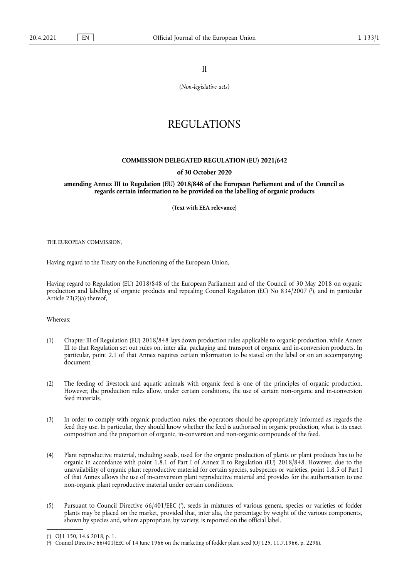II

*(Non-legislative acts)*

# REGULATIONS

# **COMMISSION DELEGATED REGULATION (EU) 2021/642**

### **of 30 October 2020**

**amending Annex III to Regulation (EU) 2018/848 of the European Parliament and of the Council as regards certain information to be provided on the labelling of organic products** 

**(Text with EEA relevance)** 

THE EUROPEAN COMMISSION,

Having regard to the Treaty on the Functioning of the European Union,

<span id="page-0-2"></span>Having regard to Regulation (EU) 2018/848 of the European Parliament and of the Council of 30 May 2018 on organic production and labelling of organic products and repealing Council Regulation (EC) No 834/2007 ( 1 [\),](#page-0-0) and in particular Article 23(2)(a) thereof,

Whereas:

- (1) Chapter III of Regulation (EU) 2018/848 lays down production rules applicable to organic production, while Annex III to that Regulation set out rules on, inter alia, packaging and transport of organic and in-conversion products. In particular, point 2.1 of that Annex requires certain information to be stated on the label or on an accompanying document.
- (2) The feeding of livestock and aquatic animals with organic feed is one of the principles of organic production. However, the production rules allow, under certain conditions, the use of certain non-organic and in-conversion feed materials.
- (3) In order to comply with organic production rules, the operators should be appropriately informed as regards the feed they use. In particular, they should know whether the feed is authorised in organic production, what is its exact composition and the proportion of organic, in-conversion and non-organic compounds of the feed.
- (4) Plant reproductive material, including seeds, used for the organic production of plants or plant products has to be organic in accordance with point 1.8.1 of Part I of Annex II to Regulation (EU) 2018/848. However, due to the unavailability of organic plant reproductive material for certain species, subspecies or varieties, point 1.8.5 of Part I of that Annex allows the use of in-conversion plant reproductive material and provides for the authorisation to use non-organic plant reproductive material under certain conditions.
- <span id="page-0-3"></span>(5) Pursuant to Council Directive 66/401/EEC [\(](#page-0-1) 2 ), seeds in mixtures of various genera, species or varieties of fodder plants may be placed on the market, provided that, inter alia, the percentage by weight of the various components, shown by species and, where appropriate, by variety, is reported on the official label.

<span id="page-0-0"></span>[<sup>\(</sup>](#page-0-2) 1 ) OJ L 150, 14.6.2018, p. 1.

<span id="page-0-1"></span><sup>(</sup> 2 [\)](#page-0-3) Council Directive 66/401/EEC of 14 June 1966 on the marketing of fodder plant seed (OJ 125, 11.7.1966, p. 2298).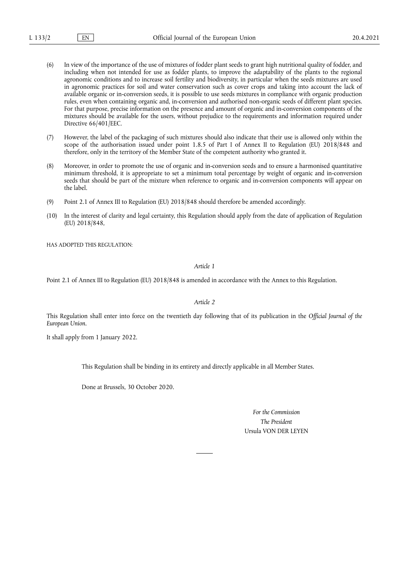- (6) In view of the importance of the use of mixtures of fodder plant seeds to grant high nutritional quality of fodder, and including when not intended for use as fodder plants, to improve the adaptability of the plants to the regional agronomic conditions and to increase soil fertility and biodiversity, in particular when the seeds mixtures are used in agronomic practices for soil and water conservation such as cover crops and taking into account the lack of available organic or in-conversion seeds, it is possible to use seeds mixtures in compliance with organic production rules, even when containing organic and, in-conversion and authorised non-organic seeds of different plant species. For that purpose, precise information on the presence and amount of organic and in-conversion components of the mixtures should be available for the users, without prejudice to the requirements and information required under Directive 66/401/EEC.
- (7) However, the label of the packaging of such mixtures should also indicate that their use is allowed only within the scope of the authorisation issued under point 1.8.5 of Part I of Annex II to Regulation (EU) 2018/848 and therefore, only in the territory of the Member State of the competent authority who granted it.
- (8) Moreover, in order to promote the use of organic and in-conversion seeds and to ensure a harmonised quantitative minimum threshold, it is appropriate to set a minimum total percentage by weight of organic and in-conversion seeds that should be part of the mixture when reference to organic and in-conversion components will appear on the label.
- (9) Point 2.1 of Annex III to Regulation (EU) 2018/848 should therefore be amended accordingly.
- (10) In the interest of clarity and legal certainty, this Regulation should apply from the date of application of Regulation (EU) 2018/848,

HAS ADOPTED THIS REGULATION:

*Article 1*

Point 2.1 of Annex III to Regulation (EU) 2018/848 is amended in accordance with the Annex to this Regulation.

*Article 2*

This Regulation shall enter into force on the twentieth day following that of its publication in the *Official Journal of the European Union*.

It shall apply from 1 January 2022.

This Regulation shall be binding in its entirety and directly applicable in all Member States.

Done at Brussels, 30 October 2020.

*For the Commission The President* Ursula VON DER LEYEN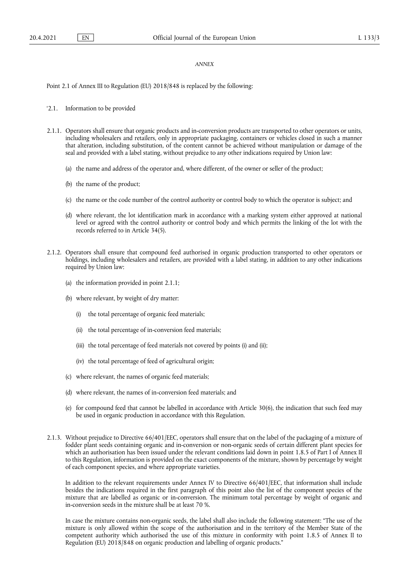# *ANNEX*

Point 2.1 of Annex III to Regulation (EU) 2018/848 is replaced by the following:

#### '2.1. Information to be provided

- 2.1.1. Operators shall ensure that organic products and in-conversion products are transported to other operators or units, including wholesalers and retailers, only in appropriate packaging, containers or vehicles closed in such a manner that alteration, including substitution, of the content cannot be achieved without manipulation or damage of the seal and provided with a label stating, without prejudice to any other indications required by Union law:
	- (a) the name and address of the operator and, where different, of the owner or seller of the product;
	- (b) the name of the product;
	- (c) the name or the code number of the control authority or control body to which the operator is subject; and
	- (d) where relevant, the lot identification mark in accordance with a marking system either approved at national level or agreed with the control authority or control body and which permits the linking of the lot with the records referred to in Article 34(5).
- 2.1.2. Operators shall ensure that compound feed authorised in organic production transported to other operators or holdings, including wholesalers and retailers, are provided with a label stating, in addition to any other indications required by Union law:
	- (a) the information provided in point 2.1.1;
	- (b) where relevant, by weight of dry matter:
		- (i) the total percentage of organic feed materials;
		- (ii) the total percentage of in-conversion feed materials;
		- (iii) the total percentage of feed materials not covered by points (i) and (ii);
		- (iv) the total percentage of feed of agricultural origin;
	- (c) where relevant, the names of organic feed materials;
	- (d) where relevant, the names of in-conversion feed materials; and
	- (e) for compound feed that cannot be labelled in accordance with Article 30(6), the indication that such feed may be used in organic production in accordance with this Regulation.
- 2.1.3. Without prejudice to Directive 66/401/EEC, operators shall ensure that on the label of the packaging of a mixture of fodder plant seeds containing organic and in-conversion or non-organic seeds of certain different plant species for which an authorisation has been issued under the relevant conditions laid down in point 1.8.5 of Part I of Annex II to this Regulation, information is provided on the exact components of the mixture, shown by percentage by weight of each component species, and where appropriate varieties.

In addition to the relevant requirements under Annex IV to Directive 66/401/EEC, that information shall include besides the indications required in the first paragraph of this point also the list of the component species of the mixture that are labelled as organic or in-conversion. The minimum total percentage by weight of organic and in-conversion seeds in the mixture shall be at least 70 %.

In case the mixture contains non-organic seeds, the label shall also include the following statement: "The use of the mixture is only allowed within the scope of the authorisation and in the territory of the Member State of the competent authority which authorised the use of this mixture in conformity with point 1.8.5 of Annex II to Regulation (EU) 2018/848 on organic production and labelling of organic products."